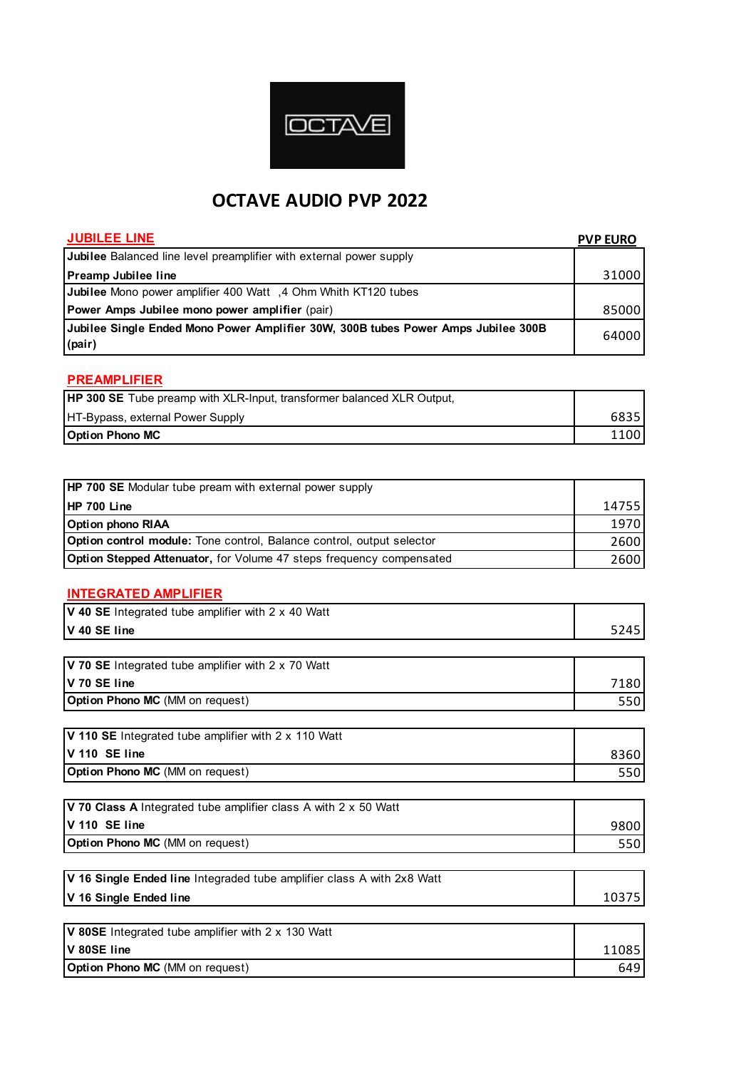

# **OCTAVE AUDIO PVP 2022**

| <b>JUBILEE LINE</b>                                                               | <b>PVP EURO</b> |
|-----------------------------------------------------------------------------------|-----------------|
| Jubilee Balanced line level preamplifier with external power supply               |                 |
| Preamp Jubilee line                                                               | 31000           |
| Jubilee Mono power amplifier 400 Watt , 4 Ohm Whith KT120 tubes                   |                 |
| Power Amps Jubilee mono power amplifier (pair)                                    | 85000           |
| Jubilee Single Ended Mono Power Amplifier 30W, 300B tubes Power Amps Jubilee 300B | 64000           |
| (pair)                                                                            |                 |
| <b>PREAMPLIFIER</b>                                                               |                 |
| HP 300 SE Tube preamp with XLR-Input, transformer balanced XLR Output,            |                 |
| HT-Bypass, external Power Supply                                                  | 6835            |
| <b>Option Phono MC</b>                                                            | 1100            |
|                                                                                   |                 |
|                                                                                   |                 |
| HP 700 SE Modular tube pream with external power supply                           |                 |
| <b>HP 700 Line</b>                                                                | 14755           |
| <b>Option phono RIAA</b>                                                          | 1970            |
| Option control module: Tone control, Balance control, output selector             | 2600            |
| Option Stepped Attenuator, for Volume 47 steps frequency compensated              | 2600            |
|                                                                                   |                 |
| <b>INTEGRATED AMPLIFIER</b>                                                       |                 |
| V 40 SE Integrated tube amplifier with 2 x 40 Watt                                |                 |
| V 40 SE line                                                                      | 5245            |
|                                                                                   |                 |
| V 70 SE Integrated tube amplifier with 2 x 70 Watt                                |                 |
| V 70 SE line                                                                      | 7180            |
| Option Phono MC (MM on request)                                                   | 550             |
|                                                                                   |                 |
| V 110 SE Integrated tube amplifier with 2 x 110 Watt                              |                 |
| V 110 SE line                                                                     | 8360            |
| Option Phono MC (MM on request)                                                   | 550             |
| V 70 Class A Integrated tube amplifier class A with 2 x 50 Watt                   |                 |
| V 110 SE line                                                                     | 9800            |
| Option Phono MC (MM on request)                                                   | 550             |
|                                                                                   |                 |
| V 16 Single Ended line Integraded tube amplifier class A with 2x8 Watt            |                 |
| V 16 Single Ended line                                                            | 10375           |
|                                                                                   |                 |
| V 80SE Integrated tube amplifier with 2 x 130 Watt                                |                 |
| V 80SE line                                                                       | 11085           |
| Option Phono MC (MM on request)                                                   | 649             |